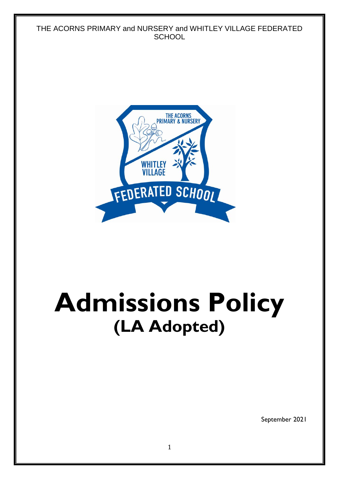

September 2021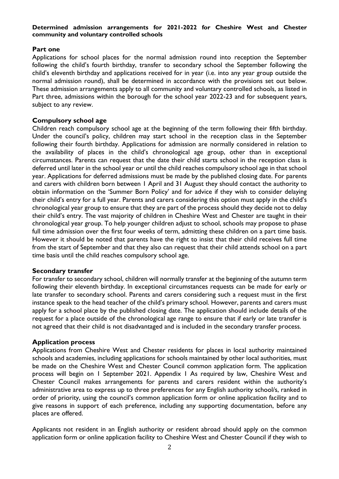### **Determined admission arrangements for 2021-2022 for Cheshire West and Chester community and voluntary controlled schools**

### **Part one**

Applications for school places for the normal admission round into reception the September following the child's fourth birthday, transfer to secondary school the September following the child's eleventh birthday and applications received for in year (i.e. into any year group outside the normal admission round), shall be determined in accordance with the provisions set out below. These admission arrangements apply to all community and voluntary controlled schools, as listed in Part three, admissions within the borough for the school year 2022-23 and for subsequent years, subject to any review.

### **Compulsory school age**

Children reach compulsory school age at the beginning of the term following their fifth birthday. Under the council's policy, children may start school in the reception class in the September following their fourth birthday. Applications for admission are normally considered in relation to the availability of places in the child's chronological age group, other than in exceptional circumstances. Parents can request that the date their child starts school in the reception class is deferred until later in the school year or until the child reaches compulsory school age in that school year. Applications for deferred admissions must be made by the published closing date. For parents and carers with children born between 1 April and 31 August they should contact the authority to obtain information on the 'Summer Born Policy' and for advice if they wish to consider delaying their child's entry for a full year. Parents and carers considering this option must apply in the child's chronological year group to ensure that they are part of the process should they decide not to delay their child's entry. The vast majority of children in Cheshire West and Chester are taught in their chronological year group. To help younger children adjust to school, schools may propose to phase full time admission over the first four weeks of term, admitting these children on a part time basis. However it should be noted that parents have the right to insist that their child receives full time from the start of September and that they also can request that their child attends school on a part time basis until the child reaches compulsory school age.

### **Secondary transfer**

For transfer to secondary school, children will normally transfer at the beginning of the autumn term following their eleventh birthday. In exceptional circumstances requests can be made for early or late transfer to secondary school. Parents and carers considering such a request must in the first instance speak to the head teacher of the child's primary school. However, parents and carers must apply for a school place by the published closing date. The application should include details of the request for a place outside of the chronological age range to ensure that if early or late transfer is not agreed that their child is not disadvantaged and is included in the secondary transfer process.

### **Application process**

Applications from Cheshire West and Chester residents for places in local authority maintained schools and academies, including applications for schools maintained by other local authorities, must be made on the Cheshire West and Chester Council common application form. The application process will begin on 1 September 2021. Appendix 1 As required by law, Cheshire West and Chester Council makes arrangements for parents and carers resident within the authority's administrative area to express up to three preferences for any English authority school/s, ranked in order of priority, using the council's common application form or online application facility and to give reasons in support of each preference, including any supporting documentation, before any places are offered.

Applicants not resident in an English authority or resident abroad should apply on the common application form or online application facility to Cheshire West and Chester Council if they wish to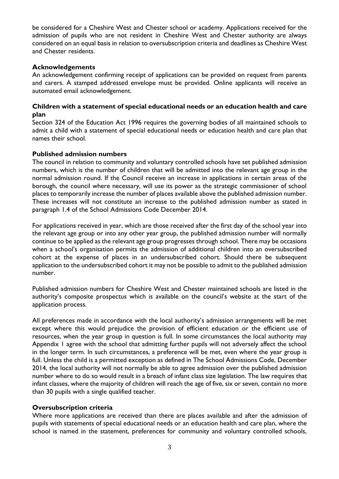be considered for a Cheshire West and Chester school or academy. Applications received for the admission of pupils who are not resident in Cheshire West and Chester authority are always considered on an equal basis in relation to oversubscription criteria and deadlines as Cheshire West and Chester residents.

## **Acknowledgements**

An acknowledgement confirming receipt of applications can be provided on request from parents and carers. A stamped addressed envelope must be provided. Online applicants will receive an automated email acknowledgement.

### **Children with a statement of special educational needs or an education health and care plan**

Section 324 of the Education Act 1996 requires the governing bodies of all maintained schools to admit a child with a statement of special educational needs or education health and care plan that names their school.

## **Published admission numbers**

The council in relation to community and voluntary controlled schools have set published admission numbers, which is the number of children that will be admitted into the relevant age group in the normal admission round. If the Council receive an increase in applications in certain areas of the borough, the council where necessary, will use its power as the strategic commissioner of school places to temporarily increase the number of places available above the published admission number. These increases will not constitute an increase to the published admission number as stated in paragraph 1.4 of the School Admissions Code December 2014.

For applications received in year, which are those received after the first day of the school year into the relevant age group or into any other year group, the published admission number will normally continue to be applied as the relevant age group progresses through school. There may be occasions when a school's organisation permits the admission of additional children into an oversubscribed cohort at the expense of places in an undersubscribed cohort. Should there be subsequent application to the undersubscribed cohort it may not be possible to admit to the published admission number.

Published admission numbers for Cheshire West and Chester maintained schools are listed in the authority's composite prospectus which is available on the council's website at the start of the application process.

All preferences made in accordance with the local authority's admission arrangements will be met except where this would prejudice the provision of efficient education or the efficient use of resources, when the year group in question is full. In some circumstances the local authority may Appendix 1 agree with the school that admitting further pupils will not adversely affect the school in the longer term. In such circumstances, a preference will be met, even where the year group is full. Unless the child is a permitted exception as defined in The School Admissions Code, December 2014, the local authority will not normally be able to agree admission over the published admission number where to do so would result in a breach of infant class size legislation. The law requires that infant classes, where the majority of children will reach the age of five, six or seven, contain no more than 30 pupils with a single qualified teacher.

## **Oversubscription criteria**

Where more applications are received than there are places available and after the admission of pupils with statements of special educational needs or an education health and care plan, where the school is named in the statement, preferences for community and voluntary controlled schools,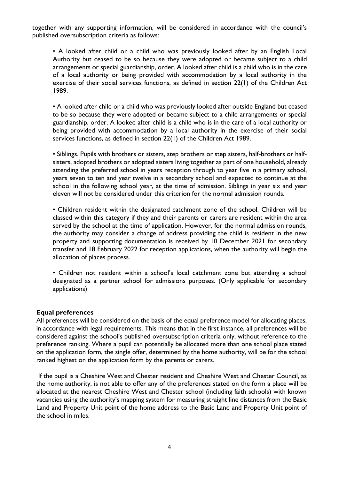together with any supporting information, will be considered in accordance with the council's published oversubscription criteria as follows:

• A looked after child or a child who was previously looked after by an English Local Authority but ceased to be so because they were adopted or became subject to a child arrangements or special guardianship, order. A looked after child is a child who is in the care of a local authority or being provided with accommodation by a local authority in the exercise of their social services functions, as defined in section 22(1) of the Children Act 1989.

• A looked after child or a child who was previously looked after outside England but ceased to be so because they were adopted or became subject to a child arrangements or special guardianship, order. A looked after child is a child who is in the care of a local authority or being provided with accommodation by a local authority in the exercise of their social services functions, as defined in section 22(1) of the Children Act 1989.

• Siblings. Pupils with brothers or sisters, step brothers or step sisters, half-brothers or halfsisters, adopted brothers or adopted sisters living together as part of one household, already attending the preferred school in years reception through to year five in a primary school, years seven to ten and year twelve in a secondary school and expected to continue at the school in the following school year, at the time of admission. Siblings in year six and year eleven will not be considered under this criterion for the normal admission rounds.

• Children resident within the designated catchment zone of the school. Children will be classed within this category if they and their parents or carers are resident within the area served by the school at the time of application. However, for the normal admission rounds, the authority may consider a change of address providing the child is resident in the new property and supporting documentation is received by 10 December 2021 for secondary transfer and 18 February 2022 for reception applications, when the authority will begin the allocation of places process.

• Children not resident within a school's local catchment zone but attending a school designated as a partner school for admissions purposes. (Only applicable for secondary applications)

### **Equal preferences**

All preferences will be considered on the basis of the equal preference model for allocating places, in accordance with legal requirements. This means that in the first instance, all preferences will be considered against the school's published oversubscription criteria only, without reference to the preference ranking. Where a pupil can potentially be allocated more than one school place stated on the application form, the single offer, determined by the home authority, will be for the school ranked highest on the application form by the parents or carers.

If the pupil is a Cheshire West and Chester resident and Cheshire West and Chester Council, as the home authority, is not able to offer any of the preferences stated on the form a place will be allocated at the nearest Cheshire West and Chester school (including faith schools) with known vacancies using the authority's mapping system for measuring straight line distances from the Basic Land and Property Unit point of the home address to the Basic Land and Property Unit point of the school in miles.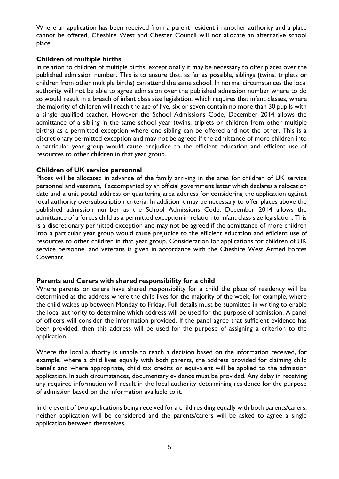Where an application has been received from a parent resident in another authority and a place cannot be offered, Cheshire West and Chester Council will not allocate an alternative school place.

### **Children of multiple births**

In relation to children of multiple births, exceptionally it may be necessary to offer places over the published admission number. This is to ensure that, as far as possible, siblings (twins, triplets or children from other multiple births) can attend the same school. In normal circumstances the local authority will not be able to agree admission over the published admission number where to do so would result in a breach of infant class size legislation, which requires that infant classes, where the majority of children will reach the age of five, six or seven contain no more than 30 pupils with a single qualified teacher. However the School Admissions Code, December 2014 allows the admittance of a sibling in the same school year (twins, triplets or children from other multiple births) as a permitted exception where one sibling can be offered and not the other. This is a discretionary permitted exception and may not be agreed if the admittance of more children into a particular year group would cause prejudice to the efficient education and efficient use of resources to other children in that year group.

### **Children of UK service personnel**

Places will be allocated in advance of the family arriving in the area for children of UK service personnel and veterans, if accompanied by an official government letter which declares a relocation date and a unit postal address or quartering area address for considering the application against local authority oversubscription criteria. In addition it may be necessary to offer places above the published admission number as the School Admissions Code, December 2014 allows the admittance of a forces child as a permitted exception in relation to infant class size legislation. This is a discretionary permitted exception and may not be agreed if the admittance of more children into a particular year group would cause prejudice to the efficient education and efficient use of resources to other children in that year group. Consideration for applications for children of UK service personnel and veterans is given in accordance with the Cheshire West Armed Forces Covenant.

## **Parents and Carers with shared responsibility for a child**

Where parents or carers have shared responsibility for a child the place of residency will be determined as the address where the child lives for the majority of the week, for example, where the child wakes up between Monday to Friday. Full details must be submitted in writing to enable the local authority to determine which address will be used for the purpose of admission. A panel of officers will consider the information provided. If the panel agree that sufficient evidence has been provided, then this address will be used for the purpose of assigning a criterion to the application.

Where the local authority is unable to reach a decision based on the information received, for example, where a child lives equally with both parents, the address provided for claiming child benefit and where appropriate, child tax credits or equivalent will be applied to the admission application. In such circumstances, documentary evidence must be provided. Any delay in receiving any required information will result in the local authority determining residence for the purpose of admission based on the information available to it.

In the event of two applications being received for a child residing equally with both parents/carers, neither application will be considered and the parents/carers will be asked to agree a single application between themselves.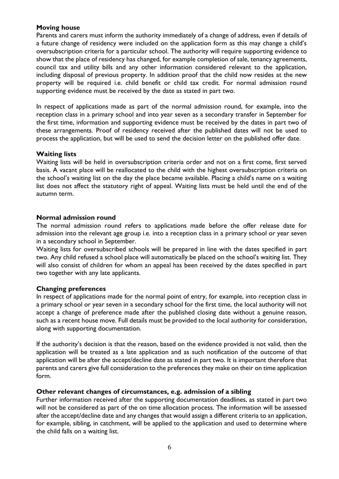# **Moving house**

Parents and carers must inform the authority immediately of a change of address, even if details of a future change of residency were included on the application form as this may change a child's oversubscription criteria for a particular school. The authority will require supporting evidence to show that the place of residency has changed, for example completion of sale, tenancy agreements, council tax and utility bills and any other information considered relevant to the application, including disposal of previous property. In addition proof that the child now resides at the new property will be required i.e. child benefit or child tax credit. For normal admission round supporting evidence must be received by the date as stated in part two.

In respect of applications made as part of the normal admission round, for example, into the reception class in a primary school and into year seven as a secondary transfer in September for the first time, information and supporting evidence must be received by the dates in part two of these arrangements. Proof of residency received after the published dates will not be used to process the application, but will be used to send the decision letter on the published offer date.

## **Waiting lists**

Waiting lists will be held in oversubscription criteria order and not on a first come, first served basis. A vacant place will be reallocated to the child with the highest oversubscription criteria on the school's waiting list on the day the place became available. Placing a child's name on a waiting list does not affect the statutory right of appeal. Waiting lists must be held until the end of the autumn term.

### **Normal admission round**

The normal admission round refers to applications made before the offer release date for admission into the relevant age group i.e. into a reception class in a primary school or year seven in a secondary school in September.

Waiting lists for oversubscribed schools will be prepared in line with the dates specified in part two. Any child refused a school place will automatically be placed on the school's waiting list. They will also consist of children for whom an appeal has been received by the dates specified in part two together with any late applicants.

## **Changing preferences**

In respect of applications made for the normal point of entry, for example, into reception class in a primary school or year seven in a secondary school for the first time, the local authority will not accept a change of preference made after the published closing date without a genuine reason, such as a recent house move. Full details must be provided to the local authority for consideration, along with supporting documentation.

If the authority's decision is that the reason, based on the evidence provided is not valid, then the application will be treated as a late application and as such notification of the outcome of that application will be after the accept/decline date as stated in part two. It is important therefore that parents and carers give full consideration to the preferences they make on their on time application form.

### **Other relevant changes of circumstances, e.g. admission of a sibling**

Further information received after the supporting documentation deadlines, as stated in part two will not be considered as part of the on time allocation process. The information will be assessed after the accept/decline date and any changes that would assign a different criteria to an application, for example, sibling, in catchment, will be applied to the application and used to determine where the child falls on a waiting list.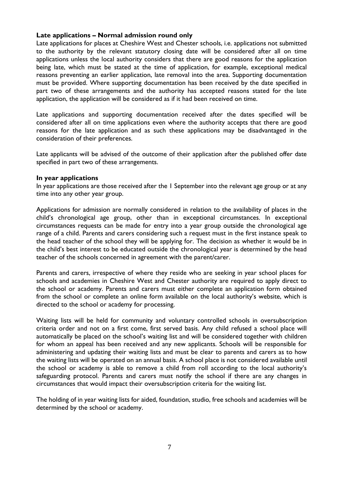### **Late applications – Normal admission round only**

Late applications for places at Cheshire West and Chester schools, i.e. applications not submitted to the authority by the relevant statutory closing date will be considered after all on time applications unless the local authority considers that there are good reasons for the application being late, which must be stated at the time of application, for example, exceptional medical reasons preventing an earlier application, late removal into the area. Supporting documentation must be provided. Where supporting documentation has been received by the date specified in part two of these arrangements and the authority has accepted reasons stated for the late application, the application will be considered as if it had been received on time.

Late applications and supporting documentation received after the dates specified will be considered after all on time applications even where the authority accepts that there are good reasons for the late application and as such these applications may be disadvantaged in the consideration of their preferences.

Late applicants will be advised of the outcome of their application after the published offer date specified in part two of these arrangements.

### **In year applications**

In year applications are those received after the 1 September into the relevant age group or at any time into any other year group.

Applications for admission are normally considered in relation to the availability of places in the child's chronological age group, other than in exceptional circumstances. In exceptional circumstances requests can be made for entry into a year group outside the chronological age range of a child. Parents and carers considering such a request must in the first instance speak to the head teacher of the school they will be applying for. The decision as whether it would be in the child's best interest to be educated outside the chronological year is determined by the head teacher of the schools concerned in agreement with the parent/carer.

Parents and carers, irrespective of where they reside who are seeking in year school places for schools and academies in Cheshire West and Chester authority are required to apply direct to the school or academy. Parents and carers must either complete an application form obtained from the school or complete an online form available on the local authority's website, which is directed to the school or academy for processing.

Waiting lists will be held for community and voluntary controlled schools in oversubscription criteria order and not on a first come, first served basis. Any child refused a school place will automatically be placed on the school's waiting list and will be considered together with children for whom an appeal has been received and any new applicants. Schools will be responsible for administering and updating their waiting lists and must be clear to parents and carers as to how the waiting lists will be operated on an annual basis. A school place is not considered available until the school or academy is able to remove a child from roll according to the local authority's safeguarding protocol. Parents and carers must notify the school if there are any changes in circumstances that would impact their oversubscription criteria for the waiting list.

The holding of in year waiting lists for aided, foundation, studio, free schools and academies will be determined by the school or academy.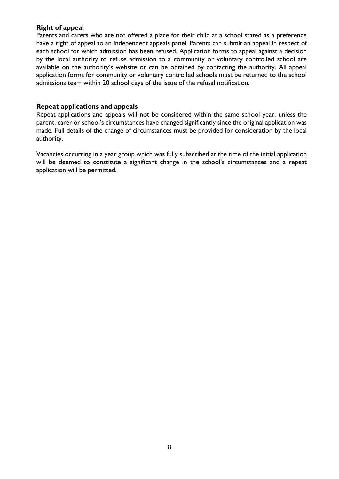# **Right of appeal**

Parents and carers who are not offered a place for their child at a school stated as a preference have a right of appeal to an independent appeals panel. Parents can submit an appeal in respect of each school for which admission has been refused. Application forms to appeal against a decision by the local authority to refuse admission to a community or voluntary controlled school are available on the authority's website or can be obtained by contacting the authority. All appeal application forms for community or voluntary controlled schools must be returned to the school admissions team within 20 school days of the issue of the refusal notification.

### **Repeat applications and appeals**

Repeat applications and appeals will not be considered within the same school year, unless the parent, carer or school's circumstances have changed significantly since the original application was made. Full details of the change of circumstances must be provided for consideration by the local authority.

Vacancies occurring in a year group which was fully subscribed at the time of the initial application will be deemed to constitute a significant change in the school's circumstances and a repeat application will be permitted.